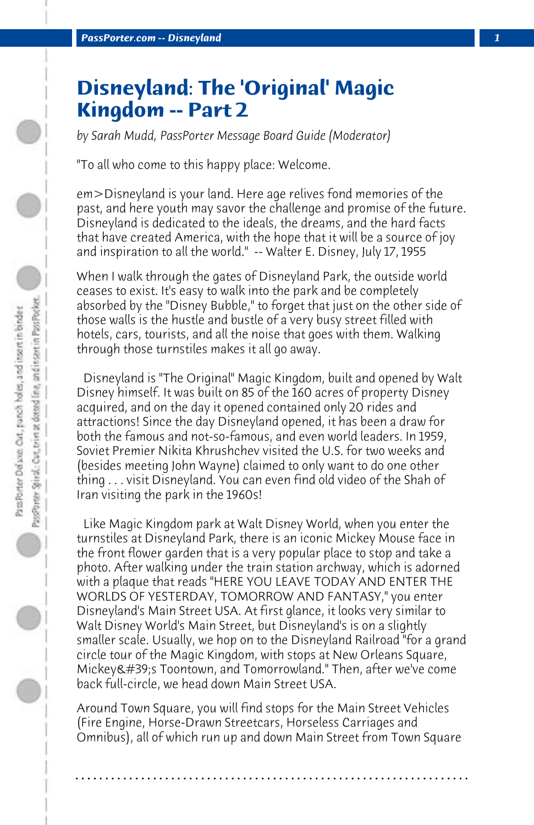## **Disneyland: The 'Original' Magic Kingdom -- Part 2**

*by Sarah Mudd, PassPorter Message Board Guide (Moderator)*

"To all who come to this happy place: Welcome.

em>Disneyland is your land. Here age relives fond memories of the past, and here youth may savor the challenge and promise of the future. Disneyland is dedicated to the ideals, the dreams, and the hard facts that have created America, with the hope that it will be a source of joy and inspiration to all the world." -- Walter E. Disney, July 17, 1955

When I walk through the gates of Disneyland Park, the outside world ceases to exist. It's easy to walk into the park and be completely absorbed by the "Disney Bubble," to forget that just on the other side of those walls is the hustle and bustle of a very busy street filled with hotels, cars, tourists, and all the noise that goes with them. Walking through those turnstiles makes it all go away.

 Disneyland is "The Original" Magic Kingdom, built and opened by Walt Disney himself. It was built on 85 of the 160 acres of property Disney acquired, and on the day it opened contained only 20 rides and attractions! Since the day Disneyland opened, it has been a draw for both the famous and not-so-famous, and even world leaders. In 1959, Soviet Premier Nikita Khrushchev visited the U.S. for two weeks and (besides meeting John Wayne) claimed to only want to do one other thing . . . visit Disneyland. You can even find old video of the Shah of Iran visiting the park in the 1960s!

 Like Magic Kingdom park at Walt Disney World, when you enter the turnstiles at Disneyland Park, there is an iconic Mickey Mouse face in the front flower garden that is a very popular place to stop and take a photo. After walking under the train station archway, which is adorned with a plaque that reads "HERE YOU LEAVE TODAY AND ENTER THE WORLDS OF YESTERDAY, TOMORROW AND FANTASY," you enter Disneyland's Main Street USA. At first glance, it looks very similar to Walt Disney World's Main Street, but Disneyland's is on a slightly smaller scale. Usually, we hop on to the Disneyland Railroad "for a grand circle tour of the Magic Kingdom, with stops at New Orleans Square, Mickey's Toontown, and Tomorrowland." Then, after we've come back full-circle, we head down Main Street USA.

Around Town Square, you will find stops for the Main Street Vehicles (Fire Engine, Horse-Drawn Streetcars, Horseless Carriages and Omnibus), all of which run up and down Main Street from Town Square

**. . . . . . . . . . . . . . . . . . . . . . . . . . . . . . . . . . . . . . . . . . . . . . . . . . . . . . . . . . . . . . . . . .**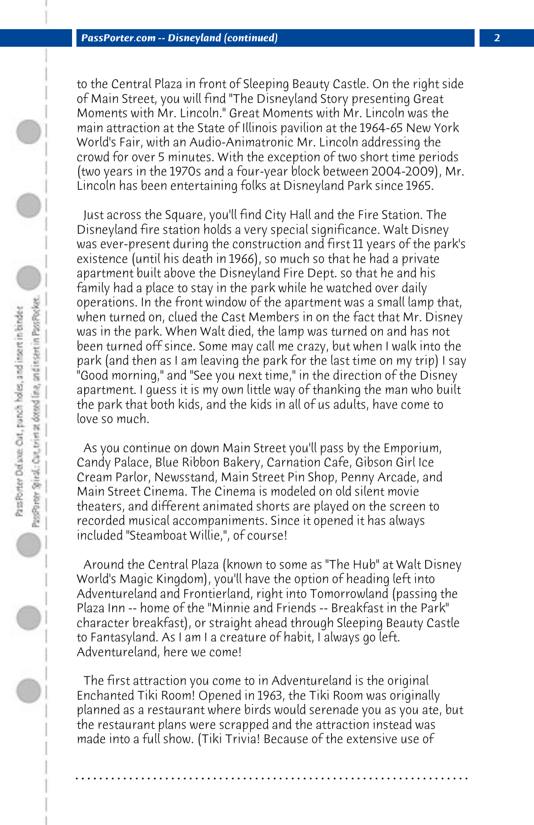to the Central Plaza in front of Sleeping Beauty Castle. On the right side of Main Street, you will find "The Disneyland Story presenting Great Moments with Mr. Lincoln." Great Moments with Mr. Lincoln was the main attraction at the State of Illinois pavilion at the 1964-65 New York World's Fair, with an Audio-Animatronic Mr. Lincoln addressing the crowd for over 5 minutes. With the exception of two short time periods (two years in the 1970s and a four-year block between 2004-2009), Mr. Lincoln has been entertaining folks at Disneyland Park since 1965.

 Just across the Square, you'll find City Hall and the Fire Station. The Disneyland fire station holds a very special significance. Walt Disney was ever-present during the construction and first 11 years of the park's existence (until his death in 1966), so much so that he had a private apartment built above the Disneyland Fire Dept. so that he and his family had a place to stay in the park while he watched over daily operations. In the front window of the apartment was a small lamp that, when turned on, clued the Cast Members in on the fact that Mr. Disney was in the park. When Walt died, the lamp was turned on and has not been turned off since. Some may call me crazy, but when I walk into the park (and then as I am leaving the park for the last time on my trip) I say "Good morning," and "See you next time," in the direction of the Disney apartment. I guess it is my own little way of thanking the man who built the park that both kids, and the kids in all of us adults, have come to love so much.

 As you continue on down Main Street you'll pass by the Emporium, Candy Palace, Blue Ribbon Bakery, Carnation Cafe, Gibson Girl Ice Cream Parlor, Newsstand, Main Street Pin Shop, Penny Arcade, and Main Street Cinema. The Cinema is modeled on old silent movie theaters, and different animated shorts are played on the screen to recorded musical accompaniments. Since it opened it has always included "Steamboat Willie,", of course!

 Around the Central Plaza (known to some as "The Hub" at Walt Disney World's Magic Kingdom), you'll have the option of heading left into Adventureland and Frontierland, right into Tomorrowland (passing the Plaza Inn -- home of the "Minnie and Friends -- Breakfast in the Park" character breakfast), or straight ahead through Sleeping Beauty Castle to Fantasyland. As I am I a creature of habit, I always go left. Adventureland, here we come!

 The first attraction you come to in Adventureland is the original Enchanted Tiki Room! Opened in 1963, the Tiki Room was originally planned as a restaurant where birds would serenade you as you ate, but the restaurant plans were scrapped and the attraction instead was made into a full show. (Tiki Trivia! Because of the extensive use of

**. . . . . . . . . . . . . . . . . . . . . . . . . . . . . . . . . . . . . . . . . . . . . . . . . . . . . . . . . . . . . . . . . .**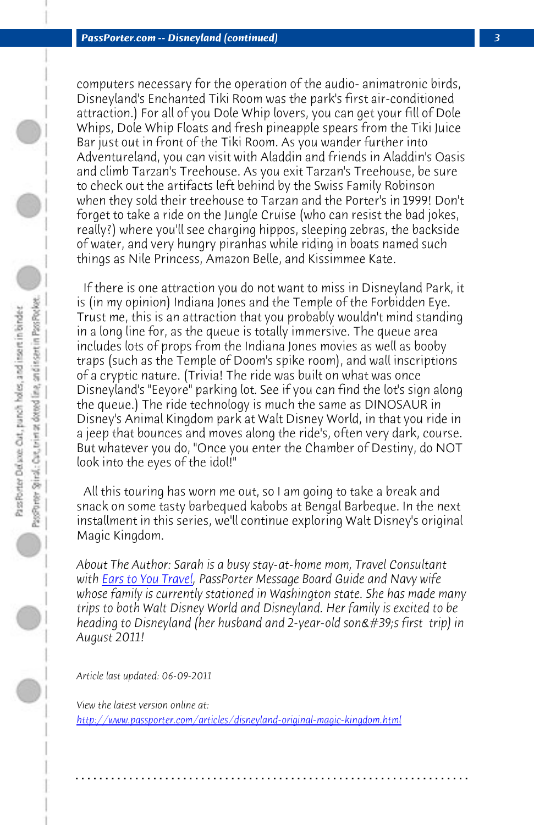*PassPorter.com -- Disneyland (continued) 3*

computers necessary for the operation of the audio- animatronic birds, Disneyland's Enchanted Tiki Room was the park's first air-conditioned attraction.) For all of you Dole Whip lovers, you can get your fill of Dole Whips, Dole Whip Floats and fresh pineapple spears from the Tiki Juice Bar just out in front of the Tiki Room. As you wander further into Adventureland, you can visit with Aladdin and friends in Aladdin's Oasis and climb Tarzan's Treehouse. As you exit Tarzan's Treehouse, be sure to check out the artifacts left behind by the Swiss Family Robinson when they sold their treehouse to Tarzan and the Porter's in 1999! Don't forget to take a ride on the Jungle Cruise (who can resist the bad jokes, really?) where you'll see charging hippos, sleeping zebras, the backside of water, and very hungry piranhas while riding in boats named such things as Nile Princess, Amazon Belle, and Kissimmee Kate.

 If there is one attraction you do not want to miss in Disneyland Park, it is (in my opinion) Indiana Jones and the Temple of the Forbidden Eye. Trust me, this is an attraction that you probably wouldn't mind standing in a l[ong line for, as th](http://www.earstoyoutravel.com/)e queue is totally immersive. The queue area includes lots of props from the Indiana Jones movies as well as booby traps (such as the Temple of Doom's spike room), and wall inscriptions of a cryptic nature. (Trivia! The ride was built on what was once Disneyland's "Eeyore" parking lot. See if you can find the lot's sign along the queue.) The ride technology is much the same as DINOSAUR in Disney's Animal Kingdom park at Walt Disney World, in that you ride in a jeep that bounces and moves along the ride's, often very dark, course. But whatever you do, "Once you enter the Chamber of Destiny, do NOT look into the eyes of the idol!"

 All this touring has worn me out, so I am going to take a break and snack on some tasty barbequed kabobs at Bengal Barbeque. In the next installment in this series, we'll continue exploring Walt Disney's original Magic Kingdom.

*About The Author: Sarah is a busy stay-at-home mom, Travel Consultant with Ears to You Travel, PassPorter Message Board Guide and Navy wife whose family is currently stationed in Washington state. She has made many trips to both Walt Disney World and Disneyland. Her family is excited to be heading to Disneyland (her husband and 2-year-old son's first trip) in August 2011!*

**. . . . . . . . . . . . . . . . . . . . . . . . . . . . . . . . . . . . . . . . . . . . . . . . . . . . . . . . . . . . . . . . . .**

*Article last updated: 06-09-2011*

*View the latest version online at: http://www.passporter.com/articles/disneyland-original-magic-kingdom.html*